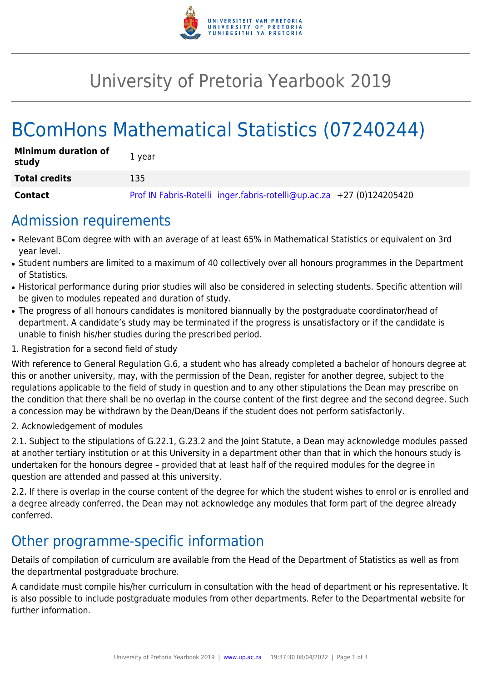

# University of Pretoria Yearbook 2019

# BComHons Mathematical Statistics (07240244)

| <b>Minimum duration of</b><br>study | 1 vear                                                                |
|-------------------------------------|-----------------------------------------------------------------------|
| <b>Total credits</b>                | 135                                                                   |
| <b>Contact</b>                      | Prof IN Fabris-Rotelli inger.fabris-rotelli@up.ac.za +27 (0)124205420 |

### Admission requirements

- Relevant BCom degree with with an average of at least 65% in Mathematical Statistics or equivalent on 3rd year level.
- Student numbers are limited to a maximum of 40 collectively over all honours programmes in the Department of Statistics.
- Historical performance during prior studies will also be considered in selecting students. Specific attention will be given to modules repeated and duration of study.
- The progress of all honours candidates is monitored biannually by the postgraduate coordinator/head of department. A candidate's study may be terminated if the progress is unsatisfactory or if the candidate is unable to finish his/her studies during the prescribed period.
- 1. Registration for a second field of study

With reference to General Regulation G.6, a student who has already completed a bachelor of honours degree at this or another university, may, with the permission of the Dean, register for another degree, subject to the regulations applicable to the field of study in question and to any other stipulations the Dean may prescribe on the condition that there shall be no overlap in the course content of the first degree and the second degree. Such a concession may be withdrawn by the Dean/Deans if the student does not perform satisfactorily.

2. Acknowledgement of modules

2.1. Subject to the stipulations of G.22.1, G.23.2 and the Joint Statute, a Dean may acknowledge modules passed at another tertiary institution or at this University in a department other than that in which the honours study is undertaken for the honours degree – provided that at least half of the required modules for the degree in question are attended and passed at this university.

2.2. If there is overlap in the course content of the degree for which the student wishes to enrol or is enrolled and a degree already conferred, the Dean may not acknowledge any modules that form part of the degree already conferred.

## Other programme-specific information

Details of compilation of curriculum are available from the Head of the Department of Statistics as well as from the departmental postgraduate brochure.

A candidate must compile his/her curriculum in consultation with the head of department or his representative. It is also possible to include postgraduate modules from other departments. Refer to the Departmental website for further information.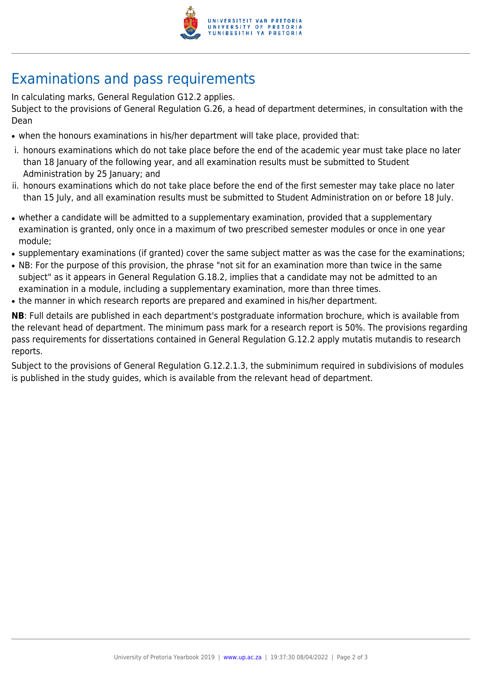

## Examinations and pass requirements

In calculating marks, General Regulation G12.2 applies.

Subject to the provisions of General Regulation G.26, a head of department determines, in consultation with the Dean

- when the honours examinations in his/her department will take place, provided that:
- i. honours examinations which do not take place before the end of the academic year must take place no later than 18 January of the following year, and all examination results must be submitted to Student Administration by 25 January; and
- ii. honours examinations which do not take place before the end of the first semester may take place no later than 15 July, and all examination results must be submitted to Student Administration on or before 18 July.
- whether a candidate will be admitted to a supplementary examination, provided that a supplementary examination is granted, only once in a maximum of two prescribed semester modules or once in one year module;
- supplementary examinations (if granted) cover the same subject matter as was the case for the examinations;
- NB: For the purpose of this provision, the phrase "not sit for an examination more than twice in the same subject" as it appears in General Regulation G.18.2, implies that a candidate may not be admitted to an examination in a module, including a supplementary examination, more than three times.
- the manner in which research reports are prepared and examined in his/her department.

**NB**: Full details are published in each department's postgraduate information brochure, which is available from the relevant head of department. The minimum pass mark for a research report is 50%. The provisions regarding pass requirements for dissertations contained in General Regulation G.12.2 apply mutatis mutandis to research reports.

Subject to the provisions of General Regulation G.12.2.1.3, the subminimum required in subdivisions of modules is published in the study guides, which is available from the relevant head of department.